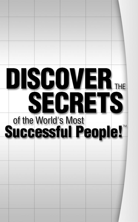# DISCOVER SECRET of the World's Most<br>Successful People!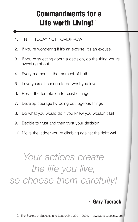## **Commandments for a Life worth Living!T**

- 1. TNT = TODAY NOT TOMORROW
- 2. If you're wondering if it's an excuse, it's an excuse!
- 3. If you're sweating about a decision, do the thing you're sweating about
- 4. Every moment is the moment of truth
- 5. Love yourself enough to do what you love
- 6. Resist the temptation to resist change
- 7. Develop courage by doing courageous things
- 8. Do what you would do if you knew you wouldn't fail
- 9. Decide to trust and then trust your decision
- 10. Move the ladder you're climbing against the right wall

## *Your actions create the life you live, so choose them carefully!*

## **- Gary Tuerack**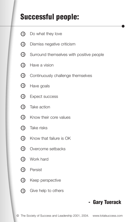## **Successful people:**

- $\odot$ Do what they love
- $\odot$  Dismiss negative criticism
- Surround themselves with positive people
- **e** Have a vision
- Continuously challenge themselves
- Have goals
- $\odot$  Expect success
- **ex** Take action
- $\odot$  Know their core values
- **ex** Take risks
- **Example 2** Know that failure is OK
- Overcome setbacks
- ↔ Work hard
- **e** Persist
- $\bigcirc$  Keep perspective
- $\odot$ Give help to others

#### **- Gary Tuerack**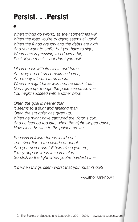## **Persist. . .Persist**

*When things go wrong, as they sometimes will, When the road you're trudging seems all uphill, When the funds are low and the debts are high, And you want to smile, but you have to sigh, When care is pressing you down a bit, Rest, if you must -- but don't you quit.*

*Life is queer with its twists and turns As every one of us sometimes learns, And many a failure turns about When he might have won had he stuck it out; Don't give up, though the pace seems slow -- You might succeed with another blow.*

*Often the goal is nearer than It seems to a faint and faltering man. Often the struggler has given up, When he might have captured the victor's cup. And he learned too late, when the night slipped down, How close he was to the golden crown.*

*Success is failure turned inside out. The silver tint to the clouds of doubt -- And you never can tell how close you are, It may appear when it seems afar; So stick to the fight when you're hardest hit --*

*It's when things seem worst that you mustn't quit!*

--Author Unknown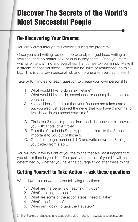## **Discover The Secrets of the World's Most Successful People™**

## **Re-Discovering Your Dreams:**

You are walked through this exercise during the program.

Once you start writing, do not stop or analyze – just keep writing all your thoughts no matter how ridiculous they seem. Once you start writing, write anything and everything that comes to your mind. Make it a stream of consciousness. There are no limits or restrictions, so think big. This is your own personal list, and no one else ever has to see it.

Take 5-10 minutes for each question to create your own personal list:

- 1. What would I like to do in my lifetime?
- 2. What would I like to do, experience, or accomplish in the next 5 years?
- 3. You suddenly found out that your finances are taken care of, but you also just received the news that you have 6 months to live. How do you spend your time?
- A. Circle the 3 most important from each list above this leaves you with a total of 9 circled.
- B. From the 9 circled in Step A, put a star next to the 3 most important to you out of those 9.
- C. On a fresh page, number it 1-3 and write down the 3 things you circled from step B.

You will now have in front of you the things that are most important to you at this time in your life. The quality of the rest of your life will be determined by whether you have the courage to go after these things!

## **Getting Yourself to Take Action -- ask these questions**

Write down the answers to the following questions:

- 1. What are the benefits of reaching my goal?
- 2. What's holding me back?
- 3. What are some of the action steps I need to take?
- 4. What's the first step?
- 5. When am I going to take the first step?